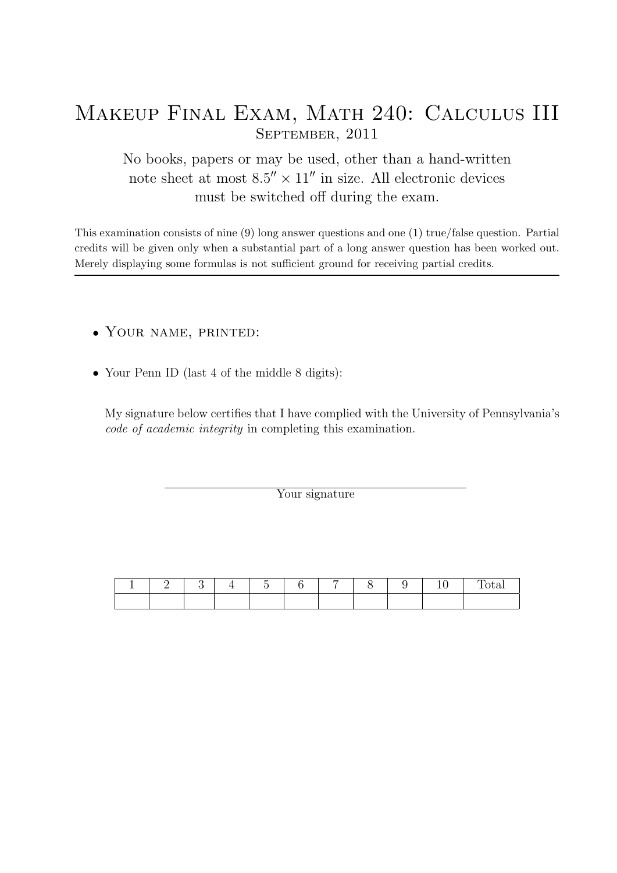## Makeup Final Exam, Math 240: Calculus III September, 2011

No books, papers or may be used, other than a hand-written note sheet at most  $8.5'' \times 11''$  in size. All electronic devices must be switched off during the exam.

This examination consists of nine (9) long answer questions and one (1) true/false question. Partial credits will be given only when a substantial part of a long answer question has been worked out. Merely displaying some formulas is not sufficient ground for receiving partial credits.

- Your name, printed:
- Your Penn ID (last 4 of the middle 8 digits):

My signature below certifies that I have complied with the University of Pennsylvania's code of academic integrity in completing this examination.

Your signature

|  |  | - |  |  |  |
|--|--|---|--|--|--|
|  |  |   |  |  |  |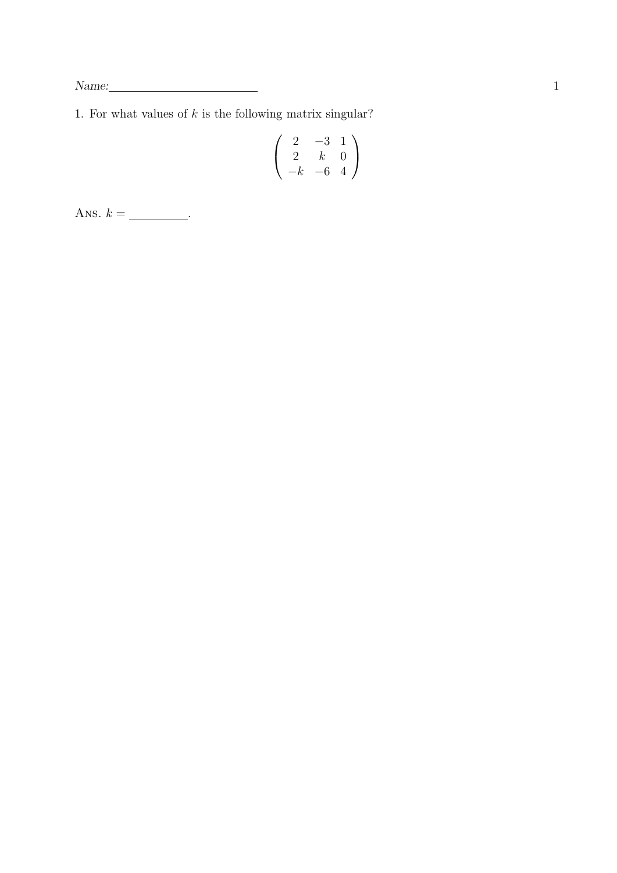$\begin{tabular}{c} Name: \end{tabular}$ 

1. For what values of  $k$  is the following matrix singular?

$$
\left(\begin{array}{ccc}2&-3&1\\2&k&0\\-k&-6&4\end{array}\right)
$$

Ans.  $k =$  \_\_\_\_\_\_\_\_\_.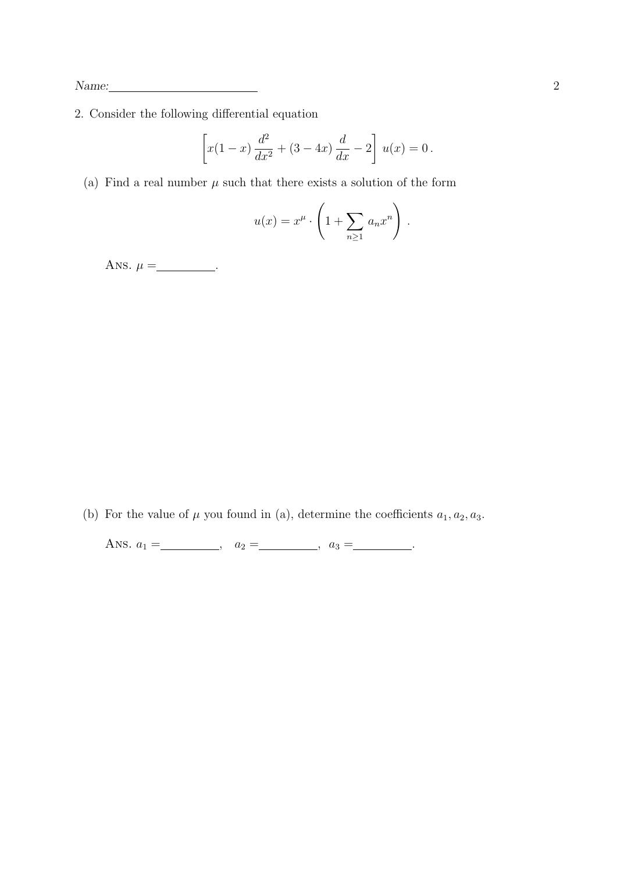2. Consider the following differential equation

$$
\[x(1-x)\frac{d^2}{dx^2} + (3-4x)\frac{d}{dx} - 2\]u(x) = 0.
$$

(a) Find a real number  $\mu$  such that there exists a solution of the form

$$
u(x) = x^{\mu} \cdot \left(1 + \sum_{n \geq 1} a_n x^n\right).
$$

Ans.  $\mu =$  \_\_\_\_\_\_\_\_\_.

(b) For the value of  $\mu$  you found in (a), determine the coefficients  $a_1, a_2, a_3$ .

Ans.  $a_1 = \_$ ,  $a_2 = \_$ ,  $a_3 = \_$ .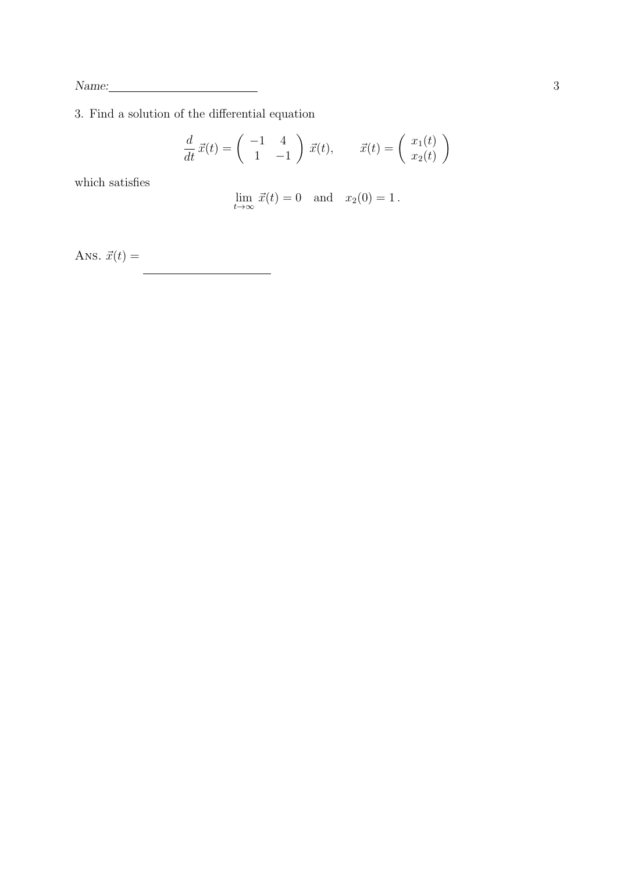$\begin{tabular}{c} Name: \quad \quad \textcolor{red}{\textbf{Name:}} \quad \quad \textcolor{red}{\textbf{3}} \quad \quad \textcolor{red}{\textbf{3}} \quad \quad \textcolor{red}{\textbf{3}} \\ \textcolor{red}{\textbf{13}} \quad \textcolor{red}{\textbf{14}} \quad \textcolor{red}{\textbf{24}} \quad \textcolor{red}{\textbf{3}} \quad \quad \textcolor{red}{\textbf{4}} \quad \quad \textcolor{red}{\textbf{4}} \quad \quad \textcolor{red}{\textbf{5}} \quad \quad \textcolor{red}{\textbf{5}} \quad \quad \textcolor{red}{\textbf{6}} \quad \quad \textcolor$ 

3. Find a solution of the differential equation

$$
\frac{d}{dt}\,\vec{x}(t) = \begin{pmatrix} -1 & 4\\ 1 & -1 \end{pmatrix}\,\vec{x}(t), \qquad \vec{x}(t) = \begin{pmatrix} x_1(t)\\ x_2(t) \end{pmatrix}
$$

which satisfies

$$
\lim_{t \to \infty} \vec{x}(t) = 0 \quad \text{and} \quad x_2(0) = 1.
$$

Ans.  $\vec{x}(t) =$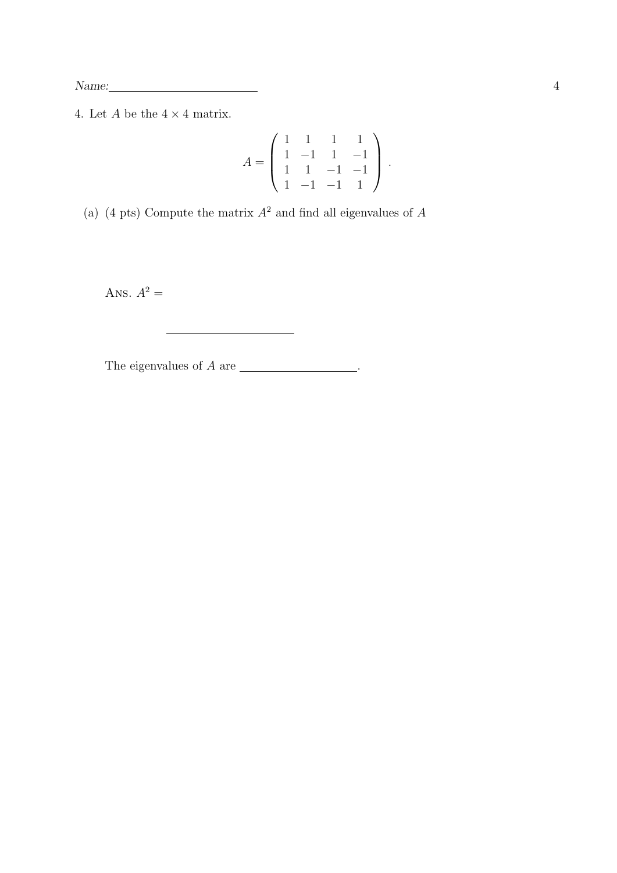$\begin{tabular}{c} Name: \quad \quad \textcolor{red}{\textbf{Name:}} \quad \textcolor{red}{\textbf{1}} \qquad \qquad \textcolor{red}{\textbf{1}} \qquad \qquad \textcolor{red}{\textbf{1}} \qquad \qquad \textcolor{red}{\textbf{1}} \qquad \qquad \textcolor{red}{\textbf{1}} \qquad \qquad \textcolor{red}{\textbf{1}} \qquad \qquad \textcolor{red}{\textbf{1}} \qquad \qquad \textcolor{red}{\textbf{1}} \qquad \qquad \textcolor{red}{\textbf{1}} \qquad \qquad \textcolor{red}{\textbf{1}} \qquad \qquad \textcolor{red}{\textbf{1$ 

4. Let  $A$  be the  $4 \times 4$  matrix.

$$
A = \begin{pmatrix} 1 & 1 & 1 & 1 \\ 1 & -1 & 1 & -1 \\ 1 & 1 & -1 & -1 \\ 1 & -1 & -1 & 1 \end{pmatrix}.
$$

(a) (4 pts) Compute the matrix  $A^2$  and find all eigenvalues of  $A$ 

Ans.  $A^2 =$ 

The eigenvalues of  $A$  are  $\_\_\_\_\_\_\_\_\_\_\_\_\_\_\_\_\_\_\_\_\_\_$ .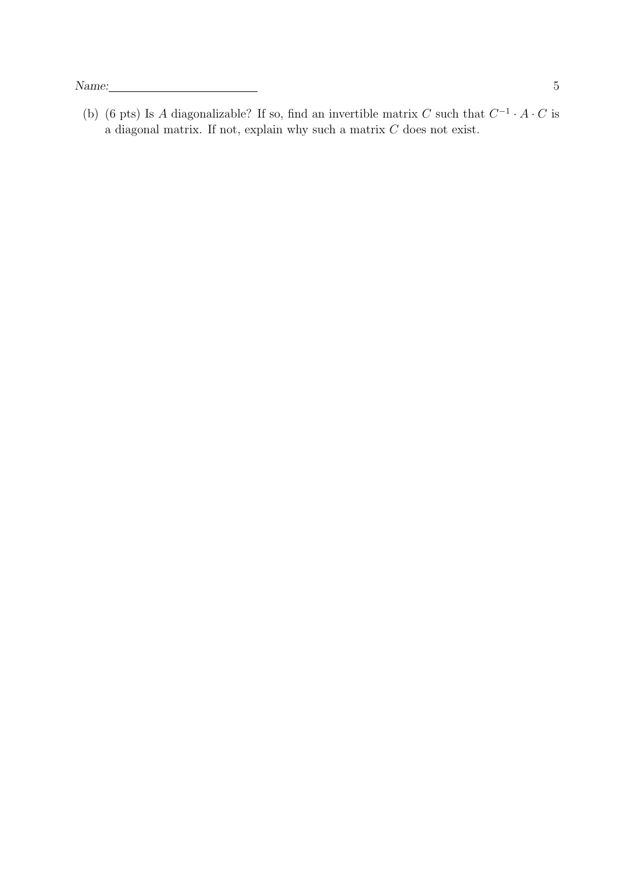(b) (6 pts) Is A diagonalizable? If so, find an invertible matrix C such that  $C^{-1} \cdot A \cdot C$  is a diagonal matrix. If not, explain why such a matrix  $C$  does not exist.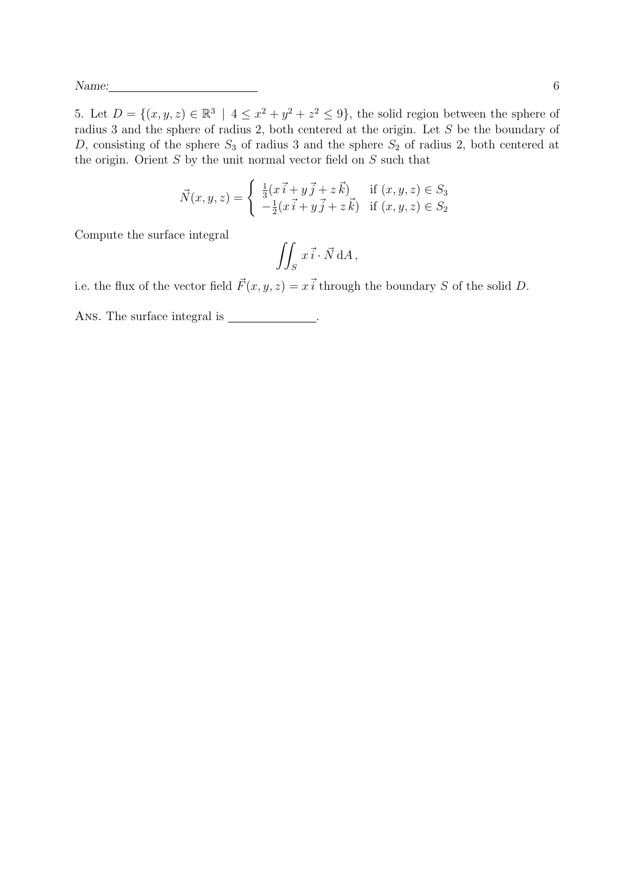5. Let  $D = \{(x, y, z) \in \mathbb{R}^3 \mid 4 \leq x^2 + y^2 + z^2 \leq 9\}$ , the solid region between the sphere of radius 3 and the sphere of radius 2, both centered at the origin. Let S be the boundary of D, consisting of the sphere  $S_3$  of radius 3 and the sphere  $S_2$  of radius 2, both centered at the origin. Orient  $S$  by the unit normal vector field on  $S$  such that

$$
\vec{N}(x, y, z) = \begin{cases} \frac{1}{3}(\vec{x} \cdot \vec{i} + \vec{y} \cdot \vec{j} + z \vec{k}) & \text{if } (x, y, z) \in S_3 \\ -\frac{1}{2}(\vec{x} \cdot \vec{i} + \vec{y} \cdot \vec{j} + z \vec{k}) & \text{if } (x, y, z) \in S_2 \end{cases}
$$

Compute the surface integral

$$
\iint_S x \vec{i} \cdot \vec{N} \, dA,
$$

i.e. the flux of the vector field  $\vec{F}(x, y, z) = x\vec{i}$  through the boundary S of the solid D.

Ans. The surface integral is  $\frac{1}{\sqrt{1-\frac{1}{\sqrt{1-\frac{1}{\sqrt{1-\frac{1}{\sqrt{1-\frac{1}{\sqrt{1-\frac{1}{\sqrt{1-\frac{1}{\sqrt{1-\frac{1}{\sqrt{1-\frac{1}{\sqrt{1-\frac{1}{\sqrt{1-\frac{1}{\sqrt{1-\frac{1}{\sqrt{1-\frac{1}{\sqrt{1-\frac{1}{\sqrt{1-\frac{1}{\sqrt{1-\frac{1}{\sqrt{1-\frac{1}{\sqrt{1-\frac{1}{\sqrt{1-\frac{1}{\sqrt{1-\frac{1}{\sqrt{1-\frac{1}{\sqrt{1-\frac{$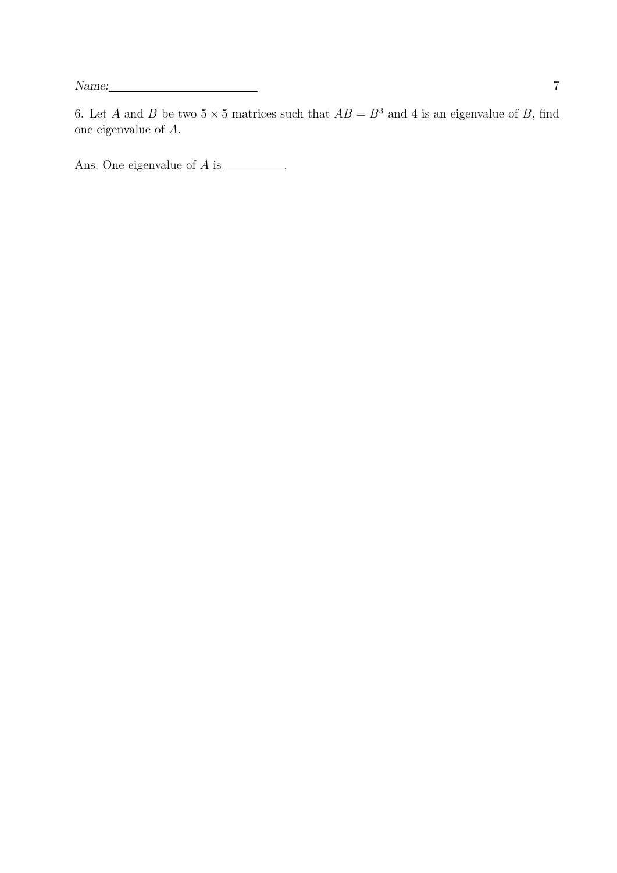6. Let A and B be two  $5 \times 5$  matrices such that  $AB = B^3$  and 4 is an eigenvalue of B, find one eigenvalue of A.

Ans. One eigenvalue of  $A$  is \_\_\_\_\_\_\_\_.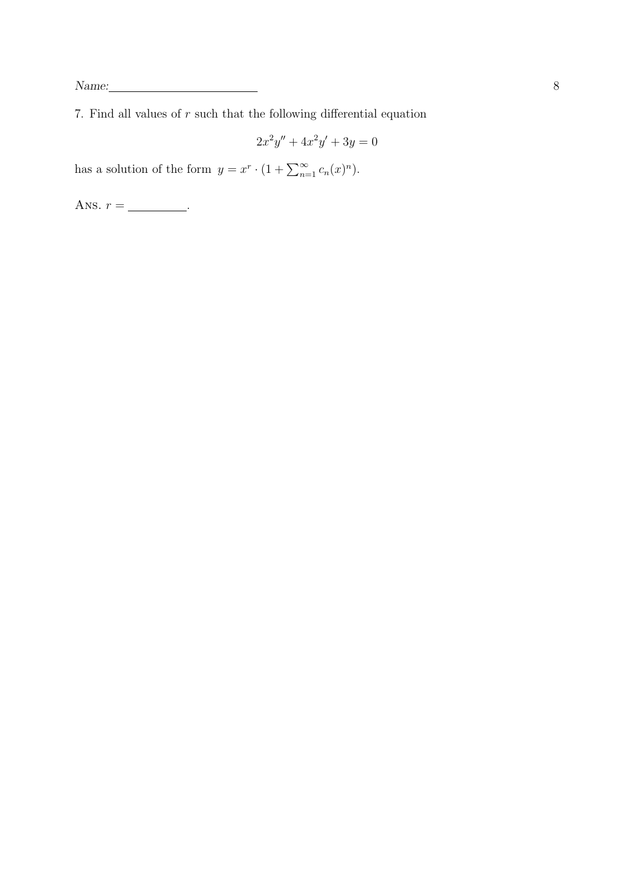7. Find all values of  $r$  such that the following differential equation

$$
2x^2y'' + 4x^2y' + 3y = 0
$$

has a solution of the form  $y = x^r \cdot (1 + \sum_{n=1}^{\infty} c_n(x)^n)$ .

Ans.  $r =$  \_\_\_\_\_\_\_\_\_\_.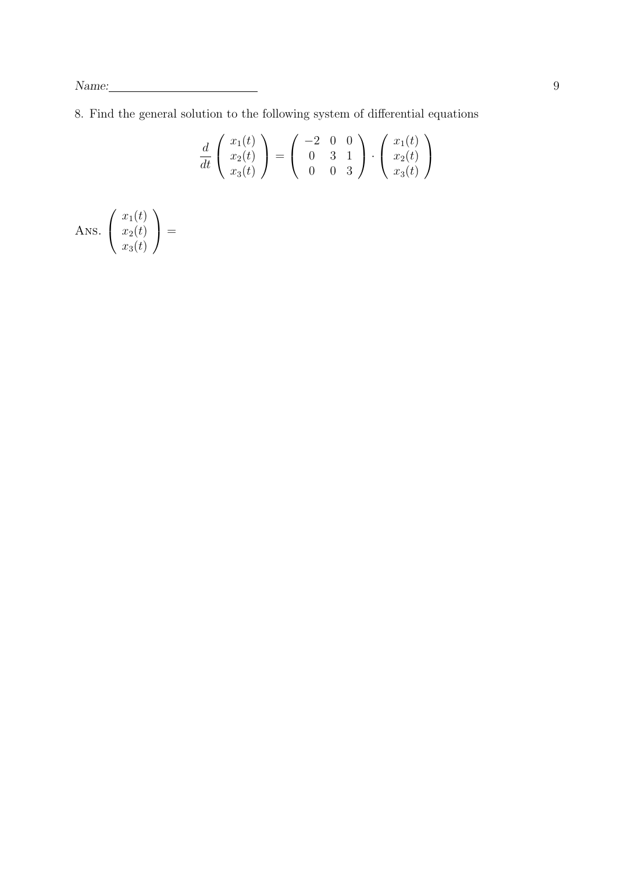8. Find the general solution to the following system of differential equations

$$
\frac{d}{dt}\begin{pmatrix}x_1(t)\\x_2(t)\\x_3(t)\end{pmatrix} = \begin{pmatrix}-2 & 0 & 0\\0 & 3 & 1\\0 & 0 & 3\end{pmatrix} \cdot \begin{pmatrix}x_1(t)\\x_2(t)\\x_3(t)\end{pmatrix}
$$

Ans. 
$$
\begin{pmatrix} x_1(t) \\ x_2(t) \\ x_3(t) \end{pmatrix} =
$$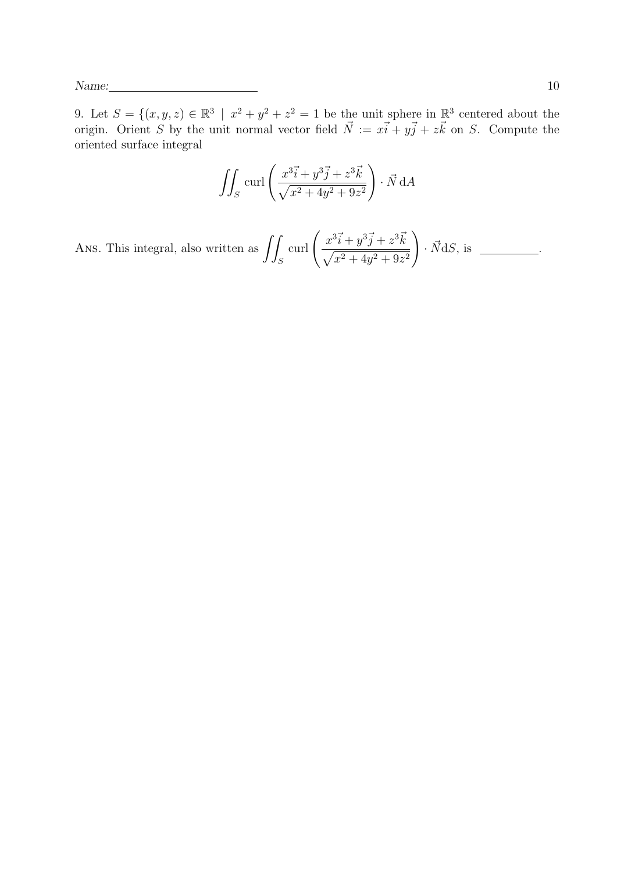9. Let  $S = \{(x, y, z) \in \mathbb{R}^3 \mid x^2 + y^2 + z^2 = 1 \text{ be the unit sphere in } \mathbb{R}^3 \text{ centered about the }$ origin. Orient S by the unit normal vector field  $\vec{N} := x\vec{i} + y\vec{j} + z\vec{k}$  on S. Compute the oriented surface integral

$$
\iint_S \operatorname{curl} \left( \frac{x^3 \vec{i} + y^3 \vec{j} + z^3 \vec{k}}{\sqrt{x^2 + 4y^2 + 9z^2}} \right) \cdot \vec{N} \, dA
$$

Ans. This integral, also written as  $\int$ S  $\text{curl}\left(\frac{x^3\vec{i}+y^3\vec{j}+z^3\vec{k}}{\sqrt{2x^2+y^2\vec{j}+z^2\vec{k}}} \right)$  $\sqrt{x^2+4y^2+9z^2}$  $\setminus$  $\cdot \vec{N}$ d $S$ , is  $\_\_\_\_\_\_\_\_\_\_\_\_\_\.\$